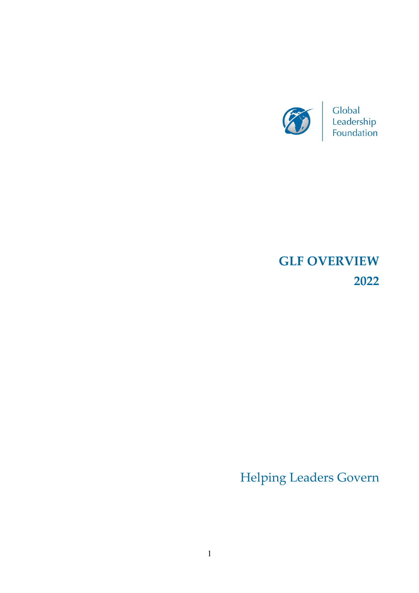

# **GLF OVERVIEW 2022**

Helping Leaders Govern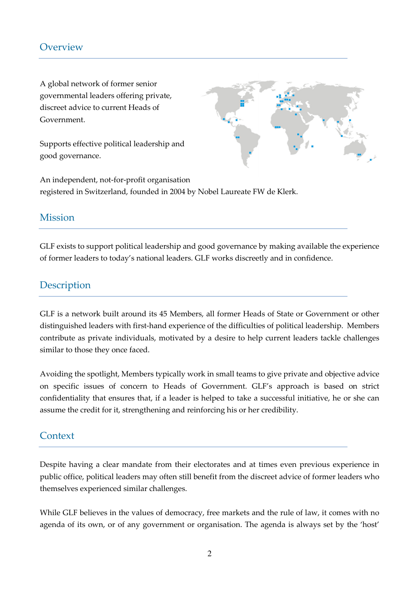## **Overview**

A global network of former senior governmental leaders offering private, discreet advice to current Heads of Government.

Supports effective political leadership and good governance.



An independent, not-for-profit organisation registered in Switzerland, founded in 2004 by Nobel Laureate FW de Klerk.

### Mission

GLF exists to support political leadership and good governance by making available the experience of former leaders to today's national leaders. GLF works discreetly and in confidence.

## **Description**

GLF is a network built around its 45 Members, all former Heads of State or Government or other distinguished leaders with first-hand experience of the difficulties of political leadership. Members contribute as private individuals, motivated by a desire to help current leaders tackle challenges similar to those they once faced.

Avoiding the spotlight, Members typically work in small teams to give private and objective advice on specific issues of concern to Heads of Government. GLF's approach is based on strict confidentiality that ensures that, if a leader is helped to take a successful initiative, he or she can assume the credit for it, strengthening and reinforcing his or her credibility.

### **Context**

Despite having a clear mandate from their electorates and at times even previous experience in public office, political leaders may often still benefit from the discreet advice of former leaders who themselves experienced similar challenges.

While GLF believes in the values of democracy, free markets and the rule of law, it comes with no agenda of its own, or of any government or organisation. The agenda is always set by the 'host'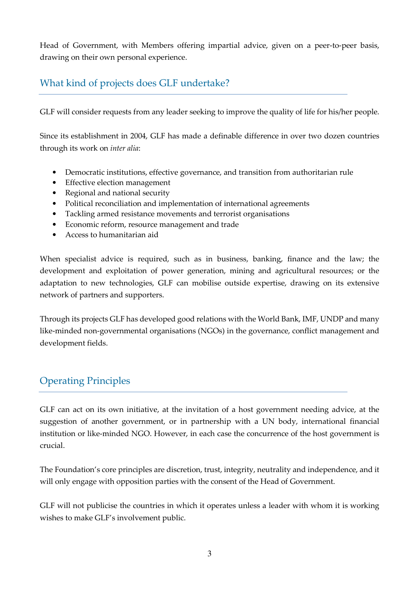Head of Government, with Members offering impartial advice, given on a peer-to-peer basis, drawing on their own personal experience.

## What kind of projects does GLF undertake?

GLF will consider requests from any leader seeking to improve the quality of life for his/her people.

Since its establishment in 2004, GLF has made a definable difference in over two dozen countries through its work on *inter alia*:

- Democratic institutions, effective governance, and transition from authoritarian rule
- Effective election management
- Regional and national security
- Political reconciliation and implementation of international agreements
- Tackling armed resistance movements and terrorist organisations
- Economic reform, resource management and trade
- Access to humanitarian aid

When specialist advice is required, such as in business, banking, finance and the law; the development and exploitation of power generation, mining and agricultural resources; or the adaptation to new technologies, GLF can mobilise outside expertise, drawing on its extensive network of partners and supporters.

Through its projects GLF has developed good relations with the World Bank, IMF, UNDP and many like-minded non-governmental organisations (NGOs) in the governance, conflict management and development fields.

## Operating Principles

GLF can act on its own initiative, at the invitation of a host government needing advice, at the suggestion of another government, or in partnership with a UN body, international financial institution or like-minded NGO. However, in each case the concurrence of the host government is crucial.

The Foundation's core principles are discretion, trust, integrity, neutrality and independence, and it will only engage with opposition parties with the consent of the Head of Government.

GLF will not publicise the countries in which it operates unless a leader with whom it is working wishes to make GLF's involvement public.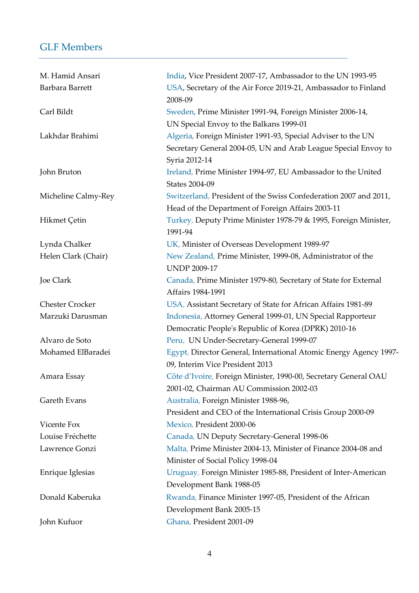## GLF Members

| M. Hamid Ansari        | India, Vice President 2007-17, Ambassador to the UN 1993-95                                                |
|------------------------|------------------------------------------------------------------------------------------------------------|
| Barbara Barrett        | USA, Secretary of the Air Force 2019-21, Ambassador to Finland<br>2008-09                                  |
| Carl Bildt             | Sweden, Prime Minister 1991-94, Foreign Minister 2006-14,                                                  |
|                        | UN Special Envoy to the Balkans 1999-01                                                                    |
| Lakhdar Brahimi        | Algeria, Foreign Minister 1991-93, Special Adviser to the UN                                               |
|                        | Secretary General 2004-05, UN and Arab League Special Envoy to<br>Syria 2012-14                            |
| John Bruton            | Ireland, Prime Minister 1994-97, EU Ambassador to the United<br><b>States 2004-09</b>                      |
| Micheline Calmy-Rey    | Switzerland, President of the Swiss Confederation 2007 and 2011,                                           |
|                        | Head of the Department of Foreign Affairs 2003-11                                                          |
| Hikmet Çetin           | Turkey, Deputy Prime Minister 1978-79 & 1995, Foreign Minister,<br>1991-94                                 |
| Lynda Chalker          | UK, Minister of Overseas Development 1989-97                                                               |
| Helen Clark (Chair)    | New Zealand, Prime Minister, 1999-08, Administrator of the<br><b>UNDP 2009-17</b>                          |
| Joe Clark              | Canada, Prime Minister 1979-80, Secretary of State for External<br>Affairs 1984-1991                       |
| <b>Chester Crocker</b> | USA, Assistant Secretary of State for African Affairs 1981-89                                              |
| Marzuki Darusman       | Indonesia, Attorney General 1999-01, UN Special Rapporteur                                                 |
|                        | Democratic People's Republic of Korea (DPRK) 2010-16                                                       |
| Alvaro de Soto         | Peru, UN Under-Secretary-General 1999-07                                                                   |
| Mohamed ElBaradei      | Egypt, Director General, International Atomic Energy Agency 1997-<br>09, Interim Vice President 2013       |
| Amara Essay            | Côte d'Ivoire, Foreign Minister, 1990-00, Secretary General OAU<br>2001-02, Chairman AU Commission 2002-03 |
| Gareth Evans           | Australia, Foreign Minister 1988-96,                                                                       |
|                        | President and CEO of the International Crisis Group 2000-09                                                |
| Vicente Fox            | Mexico, President 2000-06                                                                                  |
| Louise Fréchette       | Canada, UN Deputy Secretary-General 1998-06                                                                |
| Lawrence Gonzi         | Malta, Prime Minister 2004-13, Minister of Finance 2004-08 and                                             |
|                        | Minister of Social Policy 1998-04                                                                          |
| Enrique Iglesias       | Uruguay, Foreign Minister 1985-88, President of Inter-American                                             |
|                        | Development Bank 1988-05                                                                                   |
| Donald Kaberuka        | Rwanda, Finance Minister 1997-05, President of the African                                                 |
|                        | Development Bank 2005-15                                                                                   |
| John Kufuor            | Ghana, President 2001-09                                                                                   |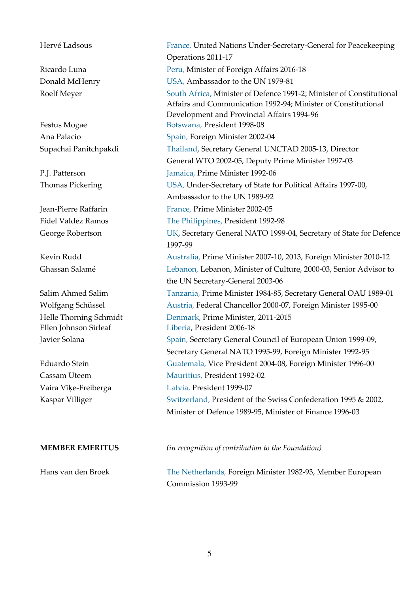Hervé Ladsous France, United Nations Under-Secretary-General for Peacekeeping Operations 2011-17 Ricardo Luna Peru, Minister of Foreign Affairs 2016-18 Donald McHenry USA, Ambassador to the UN 1979-81 Roelf Meyer South Africa, Minister of Defence 1991-2; Minister of Constitutional Affairs and Communication 1992-94; Minister of Constitutional Development and Provincial Affairs 1994-96 Festus Mogae Botswana, President 1998-08 Ana Palacio Spain, Foreign Minister 2002-04 Supachai Panitchpakdi Thailand, Secretary General UNCTAD 2005-13, Director General WTO 2002-05, Deputy Prime Minister 1997-03 P.J. Patterson Jamaica, Prime Minister 1992-06 Thomas Pickering USA, Under-Secretary of State for Political Affairs 1997-00, Ambassador to the UN 1989-92 Jean-Pierre Raffarin France, Prime Minister 2002-05 Fidel Valdez Ramos The Philippines, President 1992-98 George Robertson UK, Secretary General NATO 1999-04, Secretary of State for Defence 1997-99 Kevin Rudd Australia, Prime Minister 2007-10, 2013, Foreign Minister 2010-12 Ghassan Salamé Lebanon, Lebanon, Minister of Culture, 2000-03, Senior Advisor to the UN Secretary-General 2003-06 Salim Ahmed Salim Tanzania, Prime Minister 1984-85, Secretary General OAU 1989-01 Wolfgang Schüssel Austria, Federal Chancellor 2000-07, Foreign Minister 1995-00 Helle Thorning Schmidt Denmark, Prime Minister, 2011-2015 Ellen Johnson Sirleaf Liberia, President 2006-18 Javier Solana Spain, Secretary General Council of European Union 1999-09, Secretary General NATO 1995-99, Foreign Minister 1992-95 Eduardo Stein Guatemala, Vice President 2004-08, Foreign Minister 1996-00 Cassam Uteem Mauritius, President 1992-02 Vaira Vīķe-Freiberga Latvia, President 1999-07 Kaspar Villiger Switzerland, President of the Swiss Confederation 1995 & 2002, Minister of Defence 1989-95, Minister of Finance 1996-03

**MEMBER EMERITUS** *(in recognition of contribution to the Foundation)* 

Hans van den Broek The Netherlands, Foreign Minister 1982-93, Member European Commission 1993-99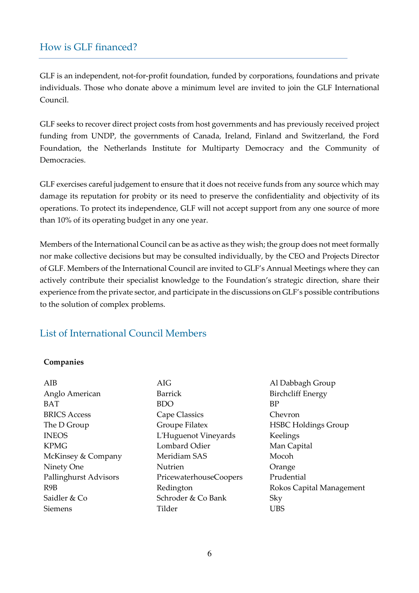## How is GLF financed?

GLF is an independent, not-for-profit foundation, funded by corporations, foundations and private individuals. Those who donate above a minimum level are invited to join the GLF International Council.

GLF seeks to recover direct project costs from host governments and has previously received project funding from UNDP, the governments of Canada, Ireland, Finland and Switzerland, the Ford Foundation, the Netherlands Institute for Multiparty Democracy and the Community of Democracies.

GLF exercises careful judgement to ensure that it does not receive funds from any source which may damage its reputation for probity or its need to preserve the confidentiality and objectivity of its operations. To protect its independence, GLF will not accept support from any one source of more than 10% of its operating budget in any one year.

Members of the International Council can be as active as they wish; the group does not meet formally nor make collective decisions but may be consulted individually, by the CEO and Projects Director of GLF. Members of the International Council are invited to GLF's Annual Meetings where they can actively contribute their specialist knowledge to the Foundation's strategic direction, share their experience from the private sector, and participate in the discussions on GLF's possible contributions to the solution of complex problems.

## List of International Council Members

#### **Companies**

| AIB                   | AIG                    | Al Dabbagh Group           |
|-----------------------|------------------------|----------------------------|
| Anglo American        | <b>Barrick</b>         | <b>Birchcliff Energy</b>   |
| <b>BAT</b>            | <b>BDO</b>             | <b>BP</b>                  |
| <b>BRICS Access</b>   | Cape Classics          | Chevron                    |
| The D Group           | Groupe Filatex         | <b>HSBC Holdings Group</b> |
| <b>INEOS</b>          | L'Huguenot Vineyards   | Keelings                   |
| <b>KPMG</b>           | Lombard Odier          | Man Capital                |
| McKinsey & Company    | Meridiam SAS           | Mocoh                      |
| Ninety One            | Nutrien                | Orange                     |
| Pallinghurst Advisors | PricewaterhouseCoopers | Prudential                 |
| R9B                   | Redington              | Rokos Capital Management   |
| Saidler & Co          | Schroder & Co Bank     | Sky                        |
| <b>Siemens</b>        | Tilder                 | <b>UBS</b>                 |
|                       |                        |                            |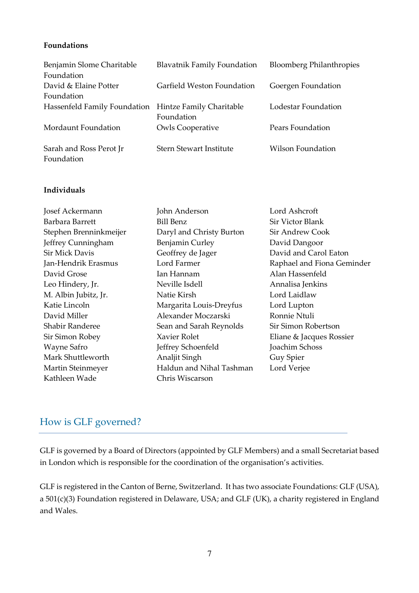#### **Foundations**

| Benjamin Slome Charitable    | <b>Blavatnik Family Foundation</b> | <b>Bloomberg Philanthropies</b> |
|------------------------------|------------------------------------|---------------------------------|
| Foundation                   |                                    |                                 |
| David & Elaine Potter        | Garfield Weston Foundation         | Goergen Foundation              |
| Foundation                   |                                    |                                 |
| Hassenfeld Family Foundation | Hintze Family Charitable           | Lodestar Foundation             |
|                              | Foundation                         |                                 |
| Mordaunt Foundation          | <b>Owls Cooperative</b>            | Pears Foundation                |
| Sarah and Ross Perot Jr      | <b>Stern Stewart Institute</b>     | Wilson Foundation               |
| Foundation                   |                                    |                                 |

#### **Individuals**

| Josef Ackermann        | John Anderson            | Lord Ashcroft              |
|------------------------|--------------------------|----------------------------|
| Barbara Barrett        | <b>Bill Benz</b>         | Sir Victor Blank           |
| Stephen Brenninkmeijer | Daryl and Christy Burton | Sir Andrew Cook            |
| Jeffrey Cunningham     | Benjamin Curley          | David Dangoor              |
| <b>Sir Mick Davis</b>  | Geoffrey de Jager        | David and Carol Eaton      |
| Jan-Hendrik Erasmus    | Lord Farmer              | Raphael and Fiona Geminder |
| David Grose            | Ian Hannam               | Alan Hassenfeld            |
| Leo Hindery, Jr.       | Neville Isdell           | Annalisa Jenkins           |
| M. Albin Jubitz, Jr.   | Natie Kirsh              | Lord Laidlaw               |
| Katie Lincoln          | Margarita Louis-Dreyfus  | Lord Lupton                |
| David Miller           | Alexander Moczarski      | Ronnie Ntuli               |
| Shabir Randeree        | Sean and Sarah Reynolds  | Sir Simon Robertson        |
| Sir Simon Robey        | Xavier Rolet             | Eliane & Jacques Rossier   |
| Wayne Safro            | Jeffrey Schoenfeld       | Joachim Schoss             |
| Mark Shuttleworth      | Analjit Singh            | Guy Spier                  |
| Martin Steinmeyer      | Haldun and Nihal Tashman | Lord Verjee                |
| Kathleen Wade          | Chris Wiscarson          |                            |

## How is GLF governed?

GLF is governed by a Board of Directors (appointed by GLF Members) and a small Secretariat based in London which is responsible for the coordination of the organisation's activities.

GLF is registered in the Canton of Berne, Switzerland. It has two associate Foundations: GLF (USA), a 501(c)(3) Foundation registered in Delaware, USA; and GLF (UK), a charity registered in England and Wales.